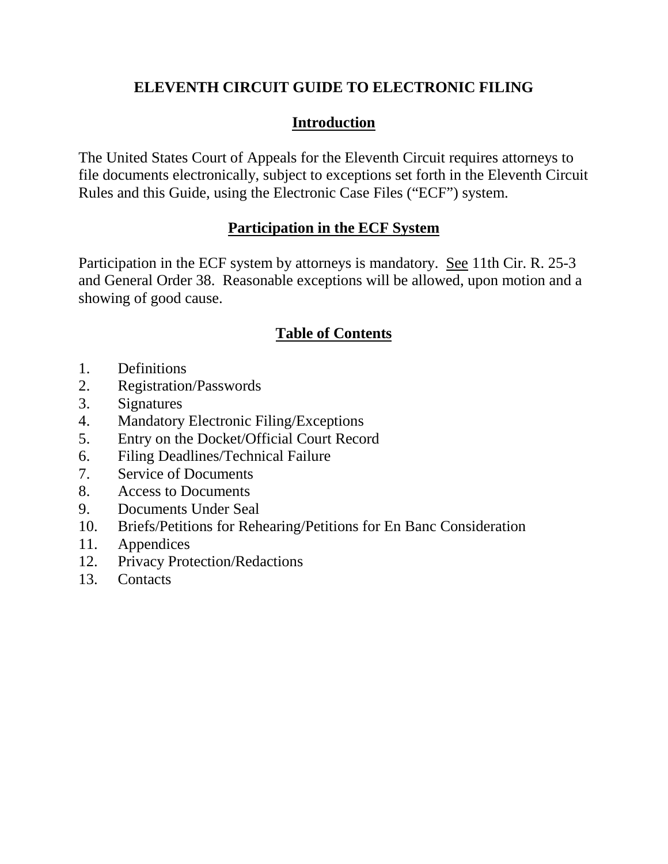# **ELEVENTH CIRCUIT GUIDE TO ELECTRONIC FILING**

## **Introduction**

The United States Court of Appeals for the Eleventh Circuit requires attorneys to file documents electronically, subject to exceptions set forth in the Eleventh Circuit Rules and this Guide, using the Electronic Case Files ("ECF") system.

## **Participation in the ECF System**

Participation in the ECF system by attorneys is mandatory. <u>See</u> 11th Cir. R. 25-3 and General Order 38. Reasonable exceptions will be allowed, upon motion and a showing of good cause.

# **Table of Contents**

- 1. Definitions
- 2. Registration/Passwords
- 3. Signatures
- 4. Mandatory Electronic Filing/Exceptions
- 5. Entry on the Docket/Official Court Record
- 6. Filing Deadlines/Technical Failure
- 7. Service of Documents
- 8. Access to Documents
- 9. Documents Under Seal
- 10. Briefs/Petitions for Rehearing/Petitions for En Banc Consideration
- 11. Appendices
- 12. Privacy Protection/Redactions
- 13. Contacts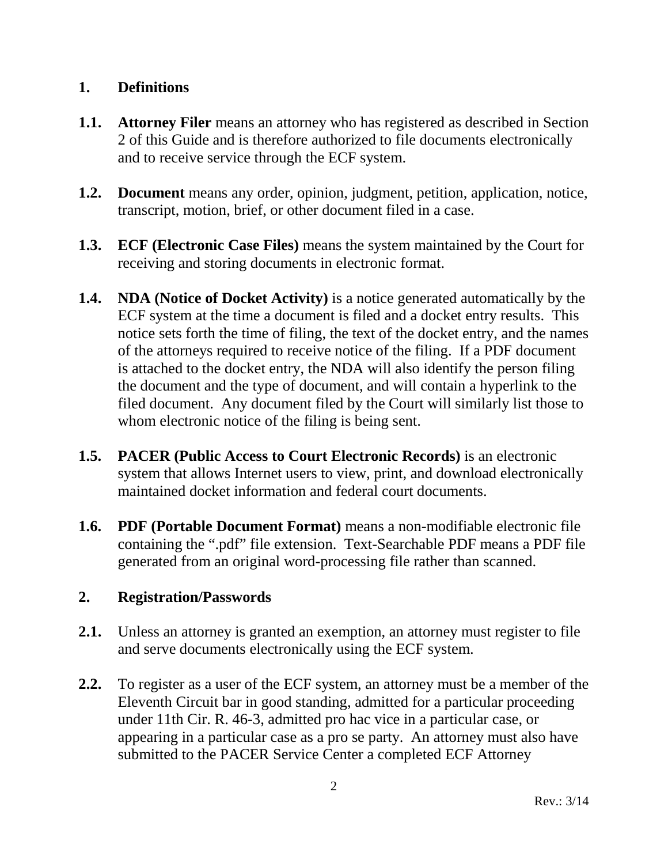### **1. Definitions**

- **1.1. Attorney Filer** means an attorney who has registered as described in Section 2 of this Guide and is therefore authorized to file documents electronically and to receive service through the ECF system.
- **1.2. Document** means any order, opinion, judgment, petition, application, notice, transcript, motion, brief, or other document filed in a case.
- **1.3. ECF (Electronic Case Files)** means the system maintained by the Court for receiving and storing documents in electronic format.
- **1.4. NDA (Notice of Docket Activity)** is a notice generated automatically by the ECF system at the time a document is filed and a docket entry results. This notice sets forth the time of filing, the text of the docket entry, and the names of the attorneys required to receive notice of the filing. If a PDF document is attached to the docket entry, the NDA will also identify the person filing the document and the type of document, and will contain a hyperlink to the filed document. Any document filed by the Court will similarly list those to whom electronic notice of the filing is being sent.
- **1.5. PACER (Public Access to Court Electronic Records)** is an electronic system that allows Internet users to view, print, and download electronically maintained docket information and federal court documents.
- **1.6. PDF (Portable Document Format)** means a non-modifiable electronic file containing the ".pdf" file extension. Text-Searchable PDF means a PDF file generated from an original word-processing file rather than scanned.

## **2. Registration/Passwords**

- **2.1.** Unless an attorney is granted an exemption, an attorney must register to file and serve documents electronically using the ECF system.
- **2.2.** To register as a user of the ECF system, an attorney must be a member of the Eleventh Circuit bar in good standing, admitted for a particular proceeding under 11th Cir. R. 46-3, admitted pro hac vice in a particular case, or appearing in a particular case as a pro se party. An attorney must also have submitted to the PACER Service Center a completed ECF Attorney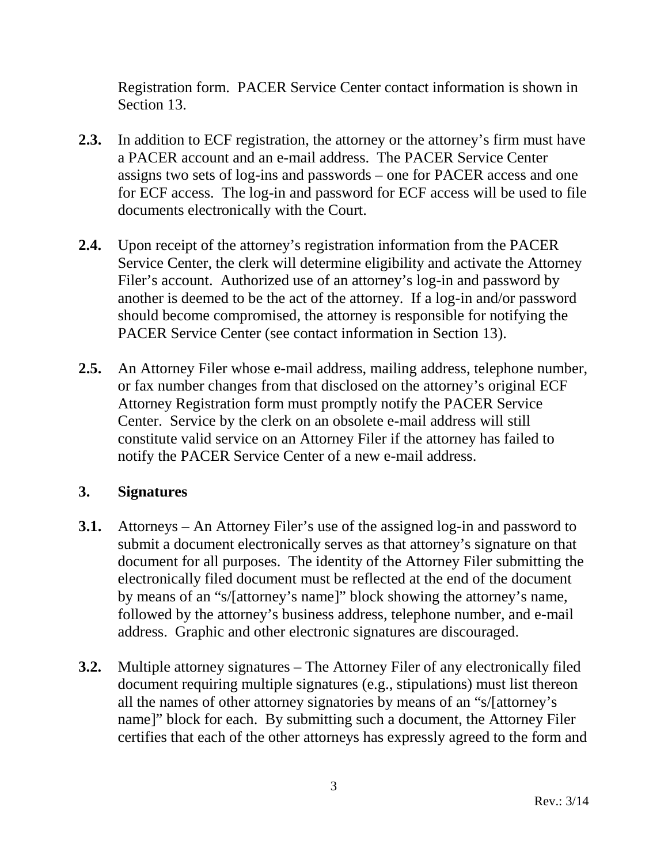Registration form. PACER Service Center contact information is shown in Section 13.

- **2.3.** In addition to ECF registration, the attorney or the attorney's firm must have a PACER account and an e-mail address. The PACER Service Center assigns two sets of log-ins and passwords – one for PACER access and one for ECF access. The log-in and password for ECF access will be used to file documents electronically with the Court.
- **2.4.** Upon receipt of the attorney's registration information from the PACER Service Center, the clerk will determine eligibility and activate the Attorney Filer's account. Authorized use of an attorney's log-in and password by another is deemed to be the act of the attorney. If a log-in and/or password should become compromised, the attorney is responsible for notifying the PACER Service Center (see contact information in Section 13).
- **2.5.** An Attorney Filer whose e-mail address, mailing address, telephone number, or fax number changes from that disclosed on the attorney's original ECF Attorney Registration form must promptly notify the PACER Service Center. Service by the clerk on an obsolete e-mail address will still constitute valid service on an Attorney Filer if the attorney has failed to notify the PACER Service Center of a new e-mail address.

#### **3. Signatures**

- **3.1.** Attorneys An Attorney Filer's use of the assigned log-in and password to submit a document electronically serves as that attorney's signature on that document for all purposes. The identity of the Attorney Filer submitting the electronically filed document must be reflected at the end of the document by means of an "s/[attorney's name]" block showing the attorney's name, followed by the attorney's business address, telephone number, and e-mail address. Graphic and other electronic signatures are discouraged.
- **3.2.** Multiple attorney signatures The Attorney Filer of any electronically filed document requiring multiple signatures (e.g., stipulations) must list thereon all the names of other attorney signatories by means of an "s/[attorney's name]" block for each. By submitting such a document, the Attorney Filer certifies that each of the other attorneys has expressly agreed to the form and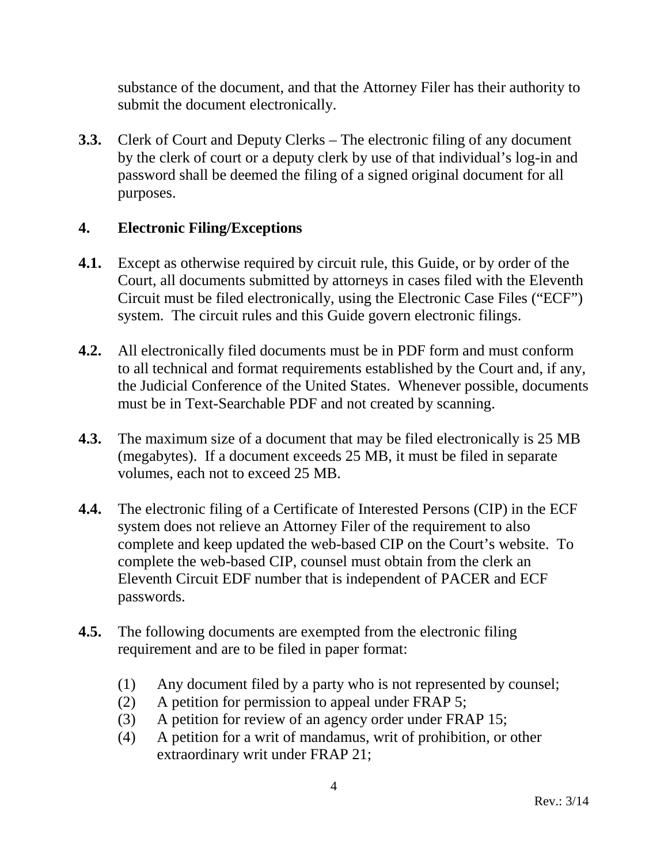substance of the document, and that the Attorney Filer has their authority to submit the document electronically.

**3.3.** Clerk of Court and Deputy Clerks – The electronic filing of any document by the clerk of court or a deputy clerk by use of that individual's log-in and password shall be deemed the filing of a signed original document for all purposes.

### **4. Electronic Filing/Exceptions**

- **4.1.** Except as otherwise required by circuit rule, this Guide, or by order of the Court, all documents submitted by attorneys in cases filed with the Eleventh Circuit must be filed electronically, using the Electronic Case Files ("ECF") system. The circuit rules and this Guide govern electronic filings.
- **4.2.** All electronically filed documents must be in PDF form and must conform to all technical and format requirements established by the Court and, if any, the Judicial Conference of the United States. Whenever possible, documents must be in Text-Searchable PDF and not created by scanning.
- **4.3.** The maximum size of a document that may be filed electronically is 25 MB (megabytes). If a document exceeds 25 MB, it must be filed in separate volumes, each not to exceed 25 MB.
- **4.4.** The electronic filing of a Certificate of Interested Persons (CIP) in the ECF system does not relieve an Attorney Filer of the requirement to also complete and keep updated the web-based CIP on the Court's website. To complete the web-based CIP, counsel must obtain from the clerk an Eleventh Circuit EDF number that is independent of PACER and ECF passwords.
- **4.5.** The following documents are exempted from the electronic filing requirement and are to be filed in paper format:
	- (1) Any document filed by a party who is not represented by counsel;
	- (2) A petition for permission to appeal under FRAP 5;
	- (3) A petition for review of an agency order under FRAP 15;
	- (4) A petition for a writ of mandamus, writ of prohibition, or other extraordinary writ under FRAP 21;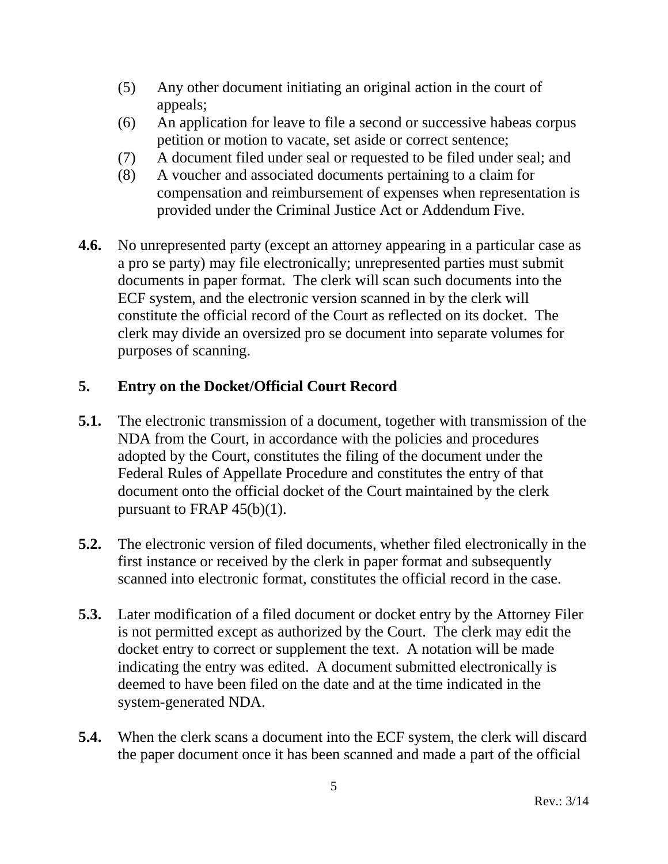- (5) Any other document initiating an original action in the court of appeals;
- (6) An application for leave to file a second or successive habeas corpus petition or motion to vacate, set aside or correct sentence;
- (7) A document filed under seal or requested to be filed under seal; and
- (8) A voucher and associated documents pertaining to a claim for compensation and reimbursement of expenses when representation is provided under the Criminal Justice Act or Addendum Five.
- **4.6.** No unrepresented party (except an attorney appearing in a particular case as a pro se party) may file electronically; unrepresented parties must submit documents in paper format. The clerk will scan such documents into the ECF system, and the electronic version scanned in by the clerk will constitute the official record of the Court as reflected on its docket. The clerk may divide an oversized pro se document into separate volumes for purposes of scanning.

## **5. Entry on the Docket/Official Court Record**

- **5.1.** The electronic transmission of a document, together with transmission of the NDA from the Court, in accordance with the policies and procedures adopted by the Court, constitutes the filing of the document under the Federal Rules of Appellate Procedure and constitutes the entry of that document onto the official docket of the Court maintained by the clerk pursuant to FRAP 45(b)(1).
- **5.2.** The electronic version of filed documents, whether filed electronically in the first instance or received by the clerk in paper format and subsequently scanned into electronic format, constitutes the official record in the case.
- **5.3.** Later modification of a filed document or docket entry by the Attorney Filer is not permitted except as authorized by the Court. The clerk may edit the docket entry to correct or supplement the text. A notation will be made indicating the entry was edited. A document submitted electronically is deemed to have been filed on the date and at the time indicated in the system-generated NDA.
- **5.4.** When the clerk scans a document into the ECF system, the clerk will discard the paper document once it has been scanned and made a part of the official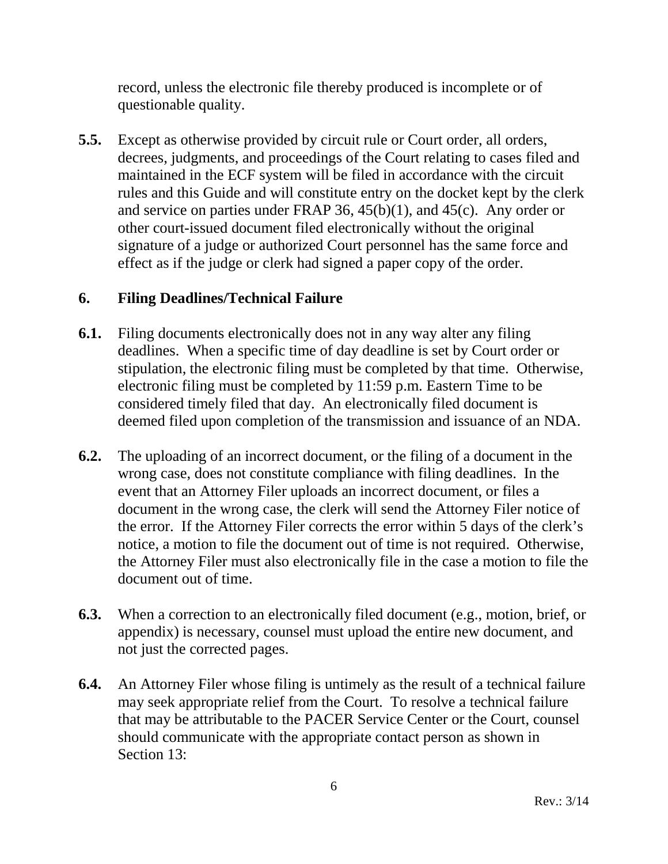record, unless the electronic file thereby produced is incomplete or of questionable quality.

**5.5.** Except as otherwise provided by circuit rule or Court order, all orders, decrees, judgments, and proceedings of the Court relating to cases filed and maintained in the ECF system will be filed in accordance with the circuit rules and this Guide and will constitute entry on the docket kept by the clerk and service on parties under FRAP 36, 45(b)(1), and 45(c). Any order or other court-issued document filed electronically without the original signature of a judge or authorized Court personnel has the same force and effect as if the judge or clerk had signed a paper copy of the order.

## **6. Filing Deadlines/Technical Failure**

- **6.1.** Filing documents electronically does not in any way alter any filing deadlines. When a specific time of day deadline is set by Court order or stipulation, the electronic filing must be completed by that time. Otherwise, electronic filing must be completed by 11:59 p.m. Eastern Time to be considered timely filed that day. An electronically filed document is deemed filed upon completion of the transmission and issuance of an NDA.
- **6.2.** The uploading of an incorrect document, or the filing of a document in the wrong case, does not constitute compliance with filing deadlines. In the event that an Attorney Filer uploads an incorrect document, or files a document in the wrong case, the clerk will send the Attorney Filer notice of the error. If the Attorney Filer corrects the error within 5 days of the clerk's notice, a motion to file the document out of time is not required. Otherwise, the Attorney Filer must also electronically file in the case a motion to file the document out of time.
- **6.3.** When a correction to an electronically filed document (e.g., motion, brief, or appendix) is necessary, counsel must upload the entire new document, and not just the corrected pages.
- **6.4.** An Attorney Filer whose filing is untimely as the result of a technical failure may seek appropriate relief from the Court. To resolve a technical failure that may be attributable to the PACER Service Center or the Court, counsel should communicate with the appropriate contact person as shown in Section 13: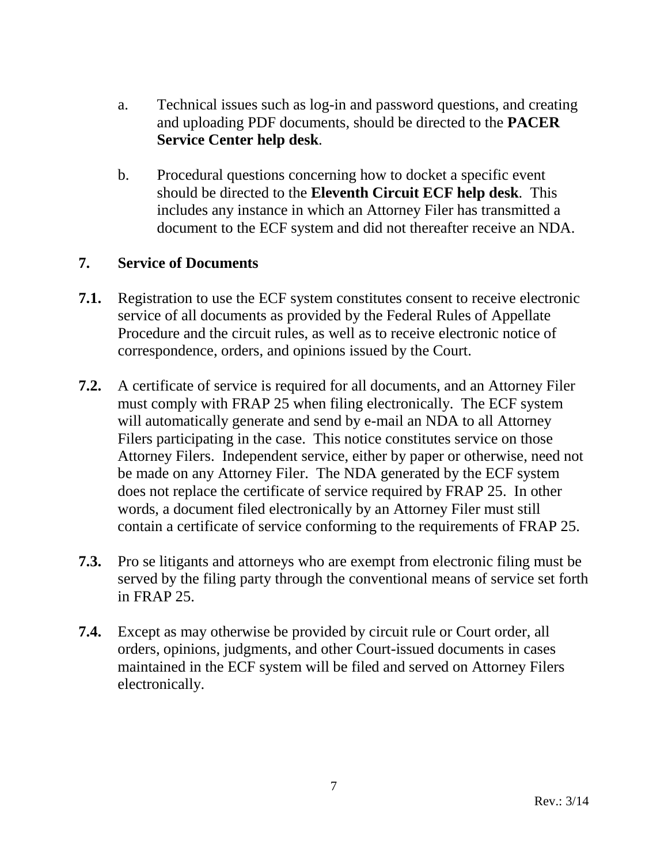- a. Technical issues such as log-in and password questions, and creating and uploading PDF documents, should be directed to the **PACER Service Center help desk**.
- b. Procedural questions concerning how to docket a specific event should be directed to the **Eleventh Circuit ECF help desk**. This includes any instance in which an Attorney Filer has transmitted a document to the ECF system and did not thereafter receive an NDA.

### **7. Service of Documents**

- **7.1.** Registration to use the ECF system constitutes consent to receive electronic service of all documents as provided by the Federal Rules of Appellate Procedure and the circuit rules, as well as to receive electronic notice of correspondence, orders, and opinions issued by the Court.
- **7.2.** A certificate of service is required for all documents, and an Attorney Filer must comply with FRAP 25 when filing electronically. The ECF system will automatically generate and send by e-mail an NDA to all Attorney Filers participating in the case. This notice constitutes service on those Attorney Filers. Independent service, either by paper or otherwise, need not be made on any Attorney Filer. The NDA generated by the ECF system does not replace the certificate of service required by FRAP 25. In other words, a document filed electronically by an Attorney Filer must still contain a certificate of service conforming to the requirements of FRAP 25.
- **7.3.** Pro se litigants and attorneys who are exempt from electronic filing must be served by the filing party through the conventional means of service set forth in FRAP 25.
- **7.4.** Except as may otherwise be provided by circuit rule or Court order, all orders, opinions, judgments, and other Court-issued documents in cases maintained in the ECF system will be filed and served on Attorney Filers electronically.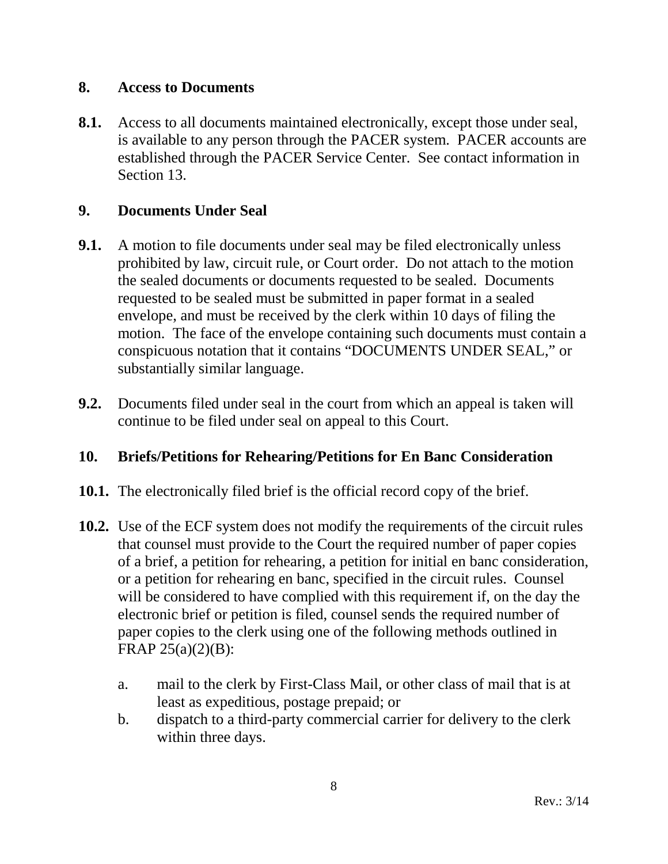#### **8. Access to Documents**

**8.1.** Access to all documents maintained electronically, except those under seal, is available to any person through the PACER system. PACER accounts are established through the PACER Service Center. See contact information in Section 13.

### **9. Documents Under Seal**

- **9.1.** A motion to file documents under seal may be filed electronically unless prohibited by law, circuit rule, or Court order. Do not attach to the motion the sealed documents or documents requested to be sealed. Documents requested to be sealed must be submitted in paper format in a sealed envelope, and must be received by the clerk within 10 days of filing the motion. The face of the envelope containing such documents must contain a conspicuous notation that it contains "DOCUMENTS UNDER SEAL," or substantially similar language.
- **9.2.** Documents filed under seal in the court from which an appeal is taken will continue to be filed under seal on appeal to this Court.

#### **10. Briefs/Petitions for Rehearing/Petitions for En Banc Consideration**

- **10.1.** The electronically filed brief is the official record copy of the brief.
- **10.2.** Use of the ECF system does not modify the requirements of the circuit rules that counsel must provide to the Court the required number of paper copies of a brief, a petition for rehearing, a petition for initial en banc consideration, or a petition for rehearing en banc, specified in the circuit rules. Counsel will be considered to have complied with this requirement if, on the day the electronic brief or petition is filed, counsel sends the required number of paper copies to the clerk using one of the following methods outlined in FRAP  $25(a)(2)(B)$ :
	- a. mail to the clerk by First-Class Mail, or other class of mail that is at least as expeditious, postage prepaid; or
	- b. dispatch to a third-party commercial carrier for delivery to the clerk within three days.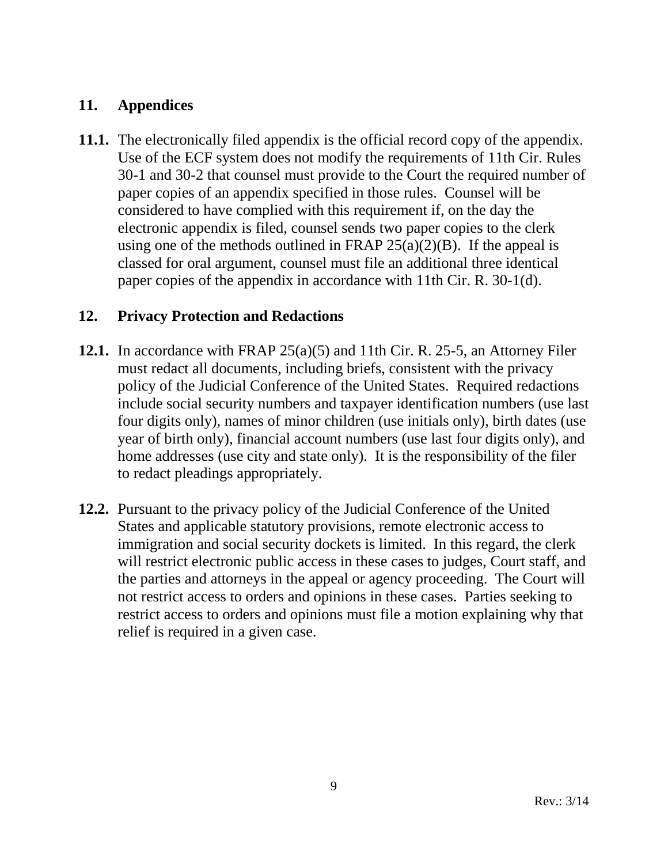### **11. Appendices**

**11.1.** The electronically filed appendix is the official record copy of the appendix. Use of the ECF system does not modify the requirements of 11th Cir. Rules 30-1 and 30-2 that counsel must provide to the Court the required number of paper copies of an appendix specified in those rules. Counsel will be considered to have complied with this requirement if, on the day the electronic appendix is filed, counsel sends two paper copies to the clerk using one of the methods outlined in FRAP  $25(a)(2)(B)$ . If the appeal is classed for oral argument, counsel must file an additional three identical paper copies of the appendix in accordance with 11th Cir. R. 30-1(d).

#### **12. Privacy Protection and Redactions**

- **12.1.** In accordance with FRAP 25(a)(5) and 11th Cir. R. 25-5, an Attorney Filer must redact all documents, including briefs, consistent with the privacy policy of the Judicial Conference of the United States. Required redactions include social security numbers and taxpayer identification numbers (use last four digits only), names of minor children (use initials only), birth dates (use year of birth only), financial account numbers (use last four digits only), and home addresses (use city and state only). It is the responsibility of the filer to redact pleadings appropriately.
- **12.2.** Pursuant to the privacy policy of the Judicial Conference of the United States and applicable statutory provisions, remote electronic access to immigration and social security dockets is limited. In this regard, the clerk will restrict electronic public access in these cases to judges, Court staff, and the parties and attorneys in the appeal or agency proceeding. The Court will not restrict access to orders and opinions in these cases. Parties seeking to restrict access to orders and opinions must file a motion explaining why that relief is required in a given case.